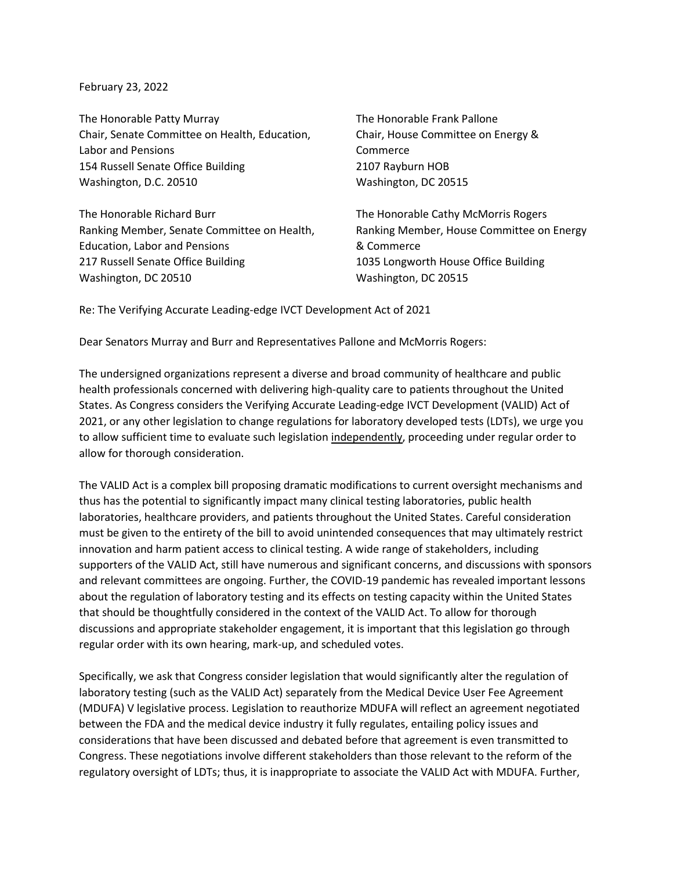February 23, 2022

The Honorable Patty Murray Chair, Senate Committee on Health, Education, Labor and Pensions 154 Russell Senate Office Building Washington, D.C. 20510

The Honorable Richard Burr Ranking Member, Senate Committee on Health, Education, Labor and Pensions 217 Russell Senate Office Building Washington, DC 20510

The Honorable Frank Pallone Chair, House Committee on Energy & Commerce 2107 Rayburn HOB Washington, DC 20515

The Honorable Cathy McMorris Rogers Ranking Member, House Committee on Energy & Commerce 1035 Longworth House Office Building Washington, DC 20515

Re: The Verifying Accurate Leading-edge IVCT Development Act of 2021

Dear Senators Murray and Burr and Representatives Pallone and McMorris Rogers:

The undersigned organizations represent a diverse and broad community of healthcare and public health professionals concerned with delivering high-quality care to patients throughout the United States. As Congress considers the Verifying Accurate Leading-edge IVCT Development (VALID) Act of 2021, or any other legislation to change regulations for laboratory developed tests (LDTs), we urge you to allow sufficient time to evaluate such legislation independently, proceeding under regular order to allow for thorough consideration.

The VALID Act is a complex bill proposing dramatic modifications to current oversight mechanisms and thus has the potential to significantly impact many clinical testing laboratories, public health laboratories, healthcare providers, and patients throughout the United States. Careful consideration must be given to the entirety of the bill to avoid unintended consequences that may ultimately restrict innovation and harm patient access to clinical testing. A wide range of stakeholders, including supporters of the VALID Act, still have numerous and significant concerns, and discussions with sponsors and relevant committees are ongoing. Further, the COVID-19 pandemic has revealed important lessons about the regulation of laboratory testing and its effects on testing capacity within the United States that should be thoughtfully considered in the context of the VALID Act. To allow for thorough discussions and appropriate stakeholder engagement, it is important that this legislation go through regular order with its own hearing, mark-up, and scheduled votes.

Specifically, we ask that Congress consider legislation that would significantly alter the regulation of laboratory testing (such as the VALID Act) separately from the Medical Device User Fee Agreement (MDUFA) V legislative process. Legislation to reauthorize MDUFA will reflect an agreement negotiated between the FDA and the medical device industry it fully regulates, entailing policy issues and considerations that have been discussed and debated before that agreement is even transmitted to Congress. These negotiations involve different stakeholders than those relevant to the reform of the regulatory oversight of LDTs; thus, it is inappropriate to associate the VALID Act with MDUFA. Further,